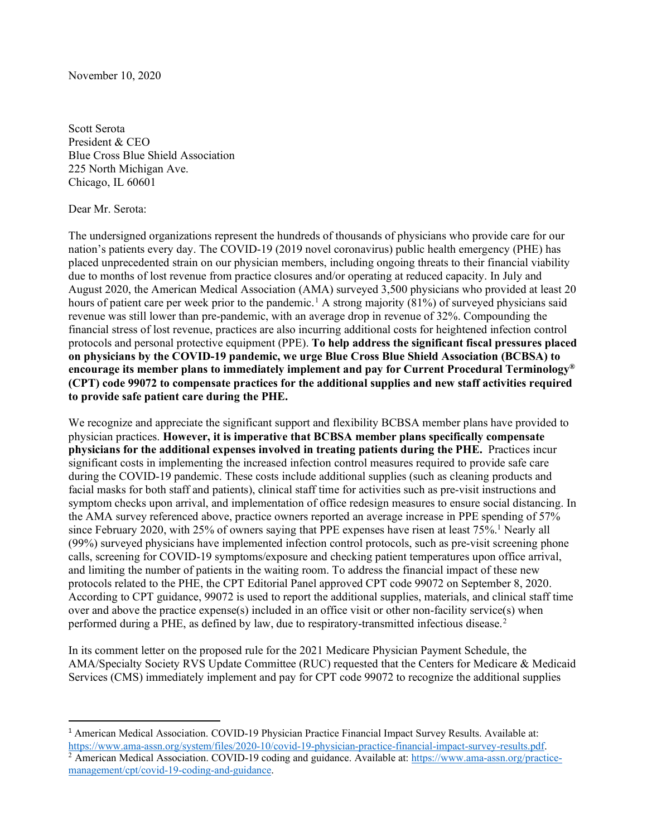November 10, 2020

Scott Serota President & CEO Blue Cross Blue Shield Association 225 North Michigan Ave. Chicago, IL 60601

Dear Mr. Serota:

The undersigned organizations represent the hundreds of thousands of physicians who provide care for our nation's patients every day. The COVID-19 (2019 novel coronavirus) public health emergency (PHE) has placed unprecedented strain on our physician members, including ongoing threats to their financial viability due to months of lost revenue from practice closures and/or operating at reduced capacity. In July and August 2020, the American Medical Association (AMA) surveyed 3,500 physicians who provided at least 20 hours of patient care per week prior to the pandemic.<sup>[1](#page-0-0)</sup> A strong majority (81%) of surveyed physicians said revenue was still lower than pre-pandemic, with an average drop in revenue of 32%. Compounding the financial stress of lost revenue, practices are also incurring additional costs for heightened infection control protocols and personal protective equipment (PPE). **To help address the significant fiscal pressures placed on physicians by the COVID-19 pandemic, we urge Blue Cross Blue Shield Association (BCBSA) to encourage its member plans to immediately implement and pay for Current Procedural Terminology® (CPT) code 99072 to compensate practices for the additional supplies and new staff activities required to provide safe patient care during the PHE.**

We recognize and appreciate the significant support and flexibility BCBSA member plans have provided to physician practices. **However, it is imperative that BCBSA member plans specifically compensate physicians for the additional expenses involved in treating patients during the PHE.** Practices incur significant costs in implementing the increased infection control measures required to provide safe care during the COVID-19 pandemic. These costs include additional supplies (such as cleaning products and facial masks for both staff and patients), clinical staff time for activities such as pre-visit instructions and symptom checks upon arrival, and implementation of office redesign measures to ensure social distancing. In the AMA survey referenced above, practice owners reported an average increase in PPE spending of 57% since February 2020, with 25% of owners saying that PPE expenses have risen at least  $75\%$ .<sup>1</sup> Nearly all (99%) surveyed physicians have implemented infection control protocols, such as pre-visit screening phone calls, screening for COVID-19 symptoms/exposure and checking patient temperatures upon office arrival, and limiting the number of patients in the waiting room. To address the financial impact of these new protocols related to the PHE, the CPT Editorial Panel approved CPT code 99072 on September 8, 2020. According to CPT guidance, 99072 is used to report the additional supplies, materials, and clinical staff time over and above the practice expense(s) included in an office visit or other non-facility service(s) when performed during a PHE, as defined by law, due to respiratory-transmitted infectious disease.[2](#page-0-1)

In its comment letter on the proposed rule for the 2021 Medicare Physician Payment Schedule, the AMA/Specialty Society RVS Update Committee (RUC) requested that the Centers for Medicare & Medicaid Services (CMS) immediately implement and pay for CPT code 99072 to recognize the additional supplies

<span id="page-0-0"></span><sup>1</sup> American Medical Association. COVID-19 Physician Practice Financial Impact Survey Results. Available at: [https://www.ama-assn.org/system/files/2020-10/covid-19-physician-practice-financial-impact-survey-results.pdf.](https://www.ama-assn.org/system/files/2020-10/covid-19-physician-practice-financial-impact-survey-results.pdf)

<span id="page-0-1"></span><sup>&</sup>lt;sup>2</sup> American Medical Association. COVID-19 coding and guidance. Available at: [https://www.ama-assn.org/practice](https://www.ama-assn.org/practice-management/cpt/covid-19-coding-and-guidance)[management/cpt/covid-19-coding-and-guidance.](https://www.ama-assn.org/practice-management/cpt/covid-19-coding-and-guidance)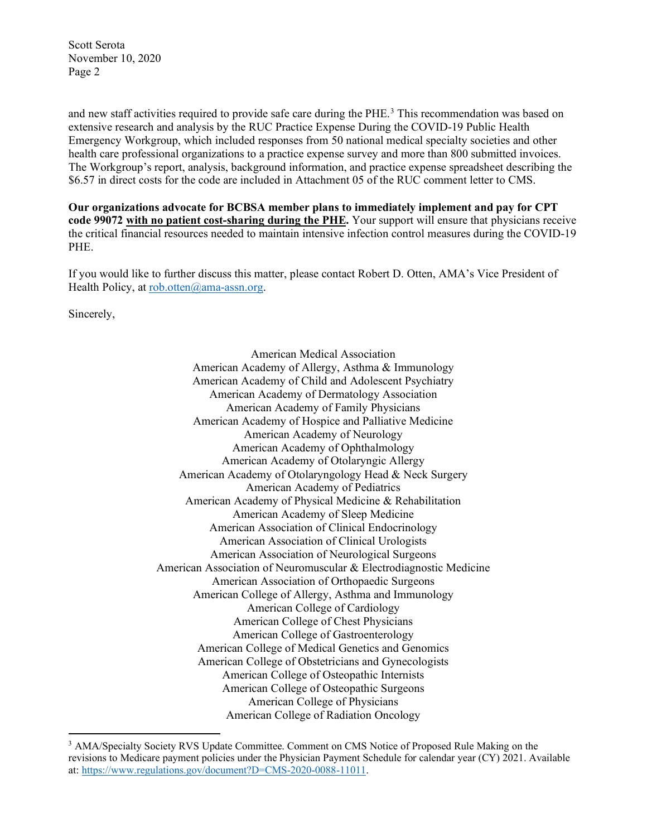Scott Serota November 10, 2020 Page 2

and new staff activities required to provide safe care during the PHE. [3](#page-1-0) This recommendation was based on extensive research and analysis by the RUC Practice Expense During the COVID-19 Public Health Emergency Workgroup, which included responses from 50 national medical specialty societies and other health care professional organizations to a practice expense survey and more than 800 submitted invoices. The Workgroup's report, analysis, background information, and practice expense spreadsheet describing the \$6.57 in direct costs for the code are included in Attachment 05 of the RUC comment letter to CMS.

**Our organizations advocate for BCBSA member plans to immediately implement and pay for CPT code 99072 with no patient cost-sharing during the PHE.** Your support will ensure that physicians receive the critical financial resources needed to maintain intensive infection control measures during the COVID-19 PHE.

If you would like to further discuss this matter, please contact Robert D. Otten, AMA's Vice President of Health Policy, at [rob.otten@ama-assn.org.](mailto:rob.otten@ama-assn.org)

Sincerely,

American Medical Association American Academy of Allergy, Asthma & Immunology American Academy of Child and Adolescent Psychiatry American Academy of Dermatology Association American Academy of Family Physicians American Academy of Hospice and Palliative Medicine American Academy of Neurology American Academy of Ophthalmology American Academy of Otolaryngic Allergy American Academy of Otolaryngology Head & Neck Surgery American Academy of Pediatrics American Academy of Physical Medicine & Rehabilitation American Academy of Sleep Medicine American Association of Clinical Endocrinology American Association of Clinical Urologists American Association of Neurological Surgeons American Association of Neuromuscular & Electrodiagnostic Medicine American Association of Orthopaedic Surgeons American College of Allergy, Asthma and Immunology American College of Cardiology American College of Chest Physicians American College of Gastroenterology American College of Medical Genetics and Genomics American College of Obstetricians and Gynecologists American College of Osteopathic Internists American College of Osteopathic Surgeons American College of Physicians American College of Radiation Oncology

<span id="page-1-0"></span><sup>&</sup>lt;sup>3</sup> AMA/Specialty Society RVS Update Committee. Comment on CMS Notice of Proposed Rule Making on the revisions to Medicare payment policies under the Physician Payment Schedule for calendar year (CY) 2021. Available at: [https://www.regulations.gov/document?D=CMS-2020-0088-11011.](https://www.regulations.gov/document?D=CMS-2020-0088-11011)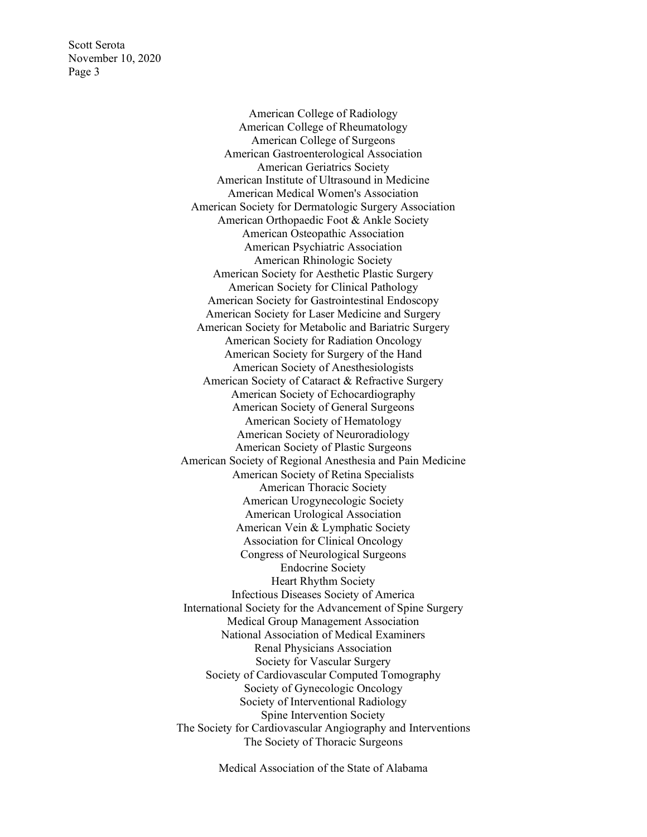Scott Serota November 10, 2020 Page 3

> American College of Radiology American College of Rheumatology American College of Surgeons American Gastroenterological Association American Geriatrics Society American Institute of Ultrasound in Medicine American Medical Women's Association American Society for Dermatologic Surgery Association American Orthopaedic Foot & Ankle Society American Osteopathic Association American Psychiatric Association American Rhinologic Society American Society for Aesthetic Plastic Surgery American Society for Clinical Pathology American Society for Gastrointestinal Endoscopy American Society for Laser Medicine and Surgery American Society for Metabolic and Bariatric Surgery American Society for Radiation Oncology American Society for Surgery of the Hand American Society of Anesthesiologists American Society of Cataract & Refractive Surgery American Society of Echocardiography American Society of General Surgeons American Society of Hematology American Society of Neuroradiology American Society of Plastic Surgeons American Society of Regional Anesthesia and Pain Medicine American Society of Retina Specialists American Thoracic Society American Urogynecologic Society American Urological Association American Vein & Lymphatic Society Association for Clinical Oncology Congress of Neurological Surgeons Endocrine Society Heart Rhythm Society Infectious Diseases Society of America International Society for the Advancement of Spine Surgery Medical Group Management Association National Association of Medical Examiners Renal Physicians Association Society for Vascular Surgery Society of Cardiovascular Computed Tomography Society of Gynecologic Oncology Society of Interventional Radiology Spine Intervention Society The Society for Cardiovascular Angiography and Interventions The Society of Thoracic Surgeons

> > Medical Association of the State of Alabama